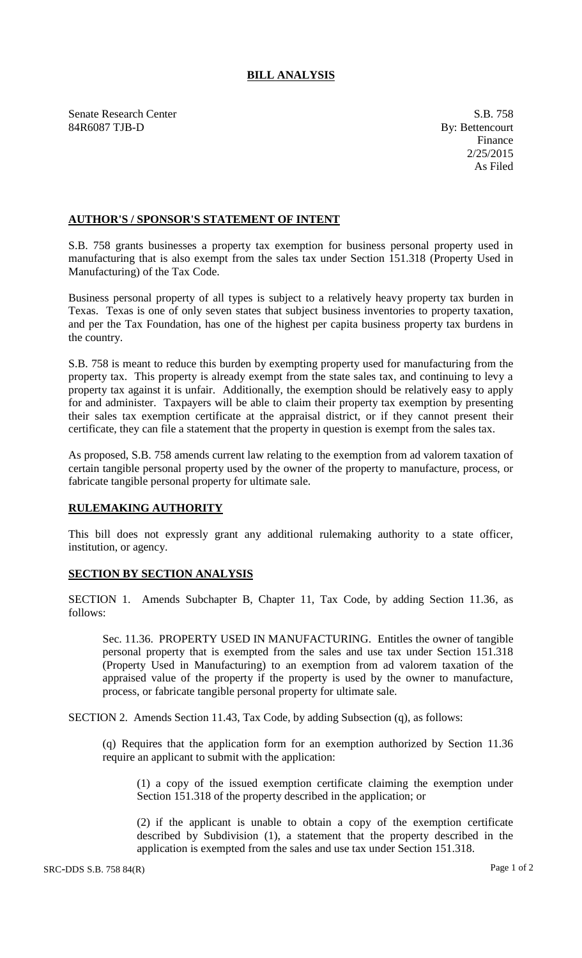## **BILL ANALYSIS**

Senate Research Center S.B. 758 84R6087 TJB-D By: Bettencourt

Finance 2/25/2015 As Filed

## **AUTHOR'S / SPONSOR'S STATEMENT OF INTENT**

S.B. 758 grants businesses a property tax exemption for business personal property used in manufacturing that is also exempt from the sales tax under Section 151.318 (Property Used in Manufacturing) of the Tax Code.

Business personal property of all types is subject to a relatively heavy property tax burden in Texas. Texas is one of only seven states that subject business inventories to property taxation, and per the Tax Foundation, has one of the highest per capita business property tax burdens in the country.

S.B. 758 is meant to reduce this burden by exempting property used for manufacturing from the property tax. This property is already exempt from the state sales tax, and continuing to levy a property tax against it is unfair. Additionally, the exemption should be relatively easy to apply for and administer. Taxpayers will be able to claim their property tax exemption by presenting their sales tax exemption certificate at the appraisal district, or if they cannot present their certificate, they can file a statement that the property in question is exempt from the sales tax.

As proposed, S.B. 758 amends current law relating to the exemption from ad valorem taxation of certain tangible personal property used by the owner of the property to manufacture, process, or fabricate tangible personal property for ultimate sale.

## **RULEMAKING AUTHORITY**

This bill does not expressly grant any additional rulemaking authority to a state officer, institution, or agency.

## **SECTION BY SECTION ANALYSIS**

SECTION 1. Amends Subchapter B, Chapter 11, Tax Code, by adding Section 11.36, as follows:

Sec. 11.36. PROPERTY USED IN MANUFACTURING. Entitles the owner of tangible personal property that is exempted from the sales and use tax under Section 151.318 (Property Used in Manufacturing) to an exemption from ad valorem taxation of the appraised value of the property if the property is used by the owner to manufacture, process, or fabricate tangible personal property for ultimate sale.

SECTION 2. Amends Section 11.43, Tax Code, by adding Subsection (q), as follows:

(q) Requires that the application form for an exemption authorized by Section 11.36 require an applicant to submit with the application:

(1) a copy of the issued exemption certificate claiming the exemption under Section 151.318 of the property described in the application; or

(2) if the applicant is unable to obtain a copy of the exemption certificate described by Subdivision (1), a statement that the property described in the application is exempted from the sales and use tax under Section 151.318.